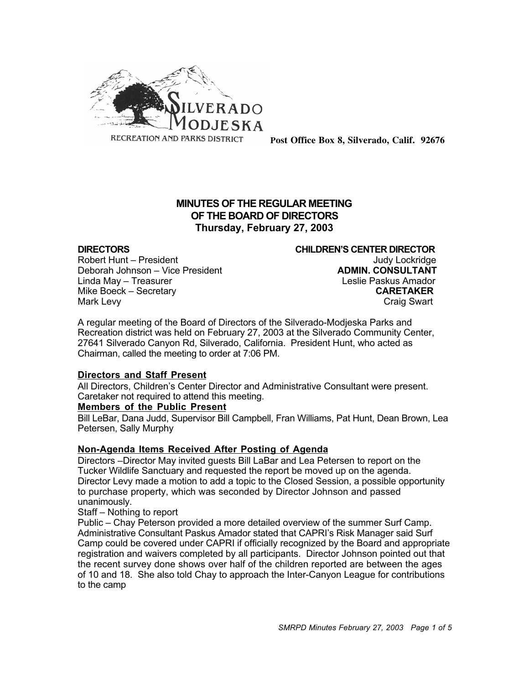

**Post Office Box 8, Silverado, Calif. 92676**

# **MINUTES OF THE REGULAR MEETING OF THE BOARD OF DIRECTORS Thursday, February 27, 2003**

Robert Hunt – President III (Research Lockridge Judy Lockridge Judy Lockridge Judy Lockridge Judy Lockridge J<br>Deborah Johnson – Vice President III (Sepang Judy Lockridge Judy Lockridge Judy Lockridge Judy Lockridge Judy Deborah Johnson – Vice President Linda May – Treasurer Leslie Paskus Amador Mike Boeck – Secretary **CARETAKER** Mark Levy **Craig Swart** 

**DIRECTORS CHILDREN'S CENTER DIRECTOR**

A regular meeting of the Board of Directors of the Silverado-Modjeska Parks and Recreation district was held on February 27, 2003 at the Silverado Community Center, 27641 Silverado Canyon Rd, Silverado, California. President Hunt, who acted as Chairman, called the meeting to order at 7:06 PM.

#### **Directors and Staff Present**

All Directors, Children's Center Director and Administrative Consultant were present. Caretaker not required to attend this meeting.

#### **Members of the Public Present**

Bill LeBar, Dana Judd, Supervisor Bill Campbell, Fran Williams, Pat Hunt, Dean Brown, Lea Petersen, Sally Murphy

#### **Non-Agenda Items Received After Posting of Agenda**

Directors –Director May invited guests Bill LaBar and Lea Petersen to report on the Tucker Wildlife Sanctuary and requested the report be moved up on the agenda. Director Levy made a motion to add a topic to the Closed Session, a possible opportunity to purchase property, which was seconded by Director Johnson and passed unanimously.

#### Staff – Nothing to report

Public – Chay Peterson provided a more detailed overview of the summer Surf Camp. Administrative Consultant Paskus Amador stated that CAPRI's Risk Manager said Surf Camp could be covered under CAPRI if officially recognized by the Board and appropriate registration and waivers completed by all participants. Director Johnson pointed out that the recent survey done shows over half of the children reported are between the ages of 10 and 18. She also told Chay to approach the Inter-Canyon League for contributions to the camp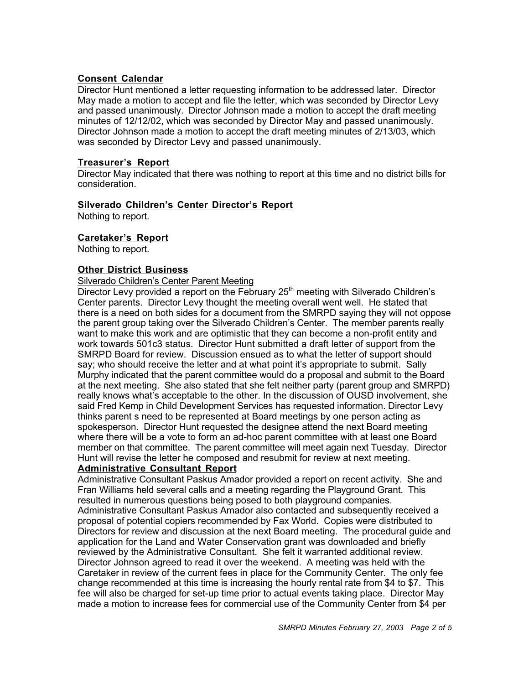### **Consent Calendar**

Director Hunt mentioned a letter requesting information to be addressed later. Director May made a motion to accept and file the letter, which was seconded by Director Levy and passed unanimously. Director Johnson made a motion to accept the draft meeting minutes of 12/12/02, which was seconded by Director May and passed unanimously. Director Johnson made a motion to accept the draft meeting minutes of 2/13/03, which was seconded by Director Levy and passed unanimously.

### **Treasurer's Report**

Director May indicated that there was nothing to report at this time and no district bills for consideration.

# **Silverado Children's Center Director's Report**

Nothing to report.

# **Caretaker's Report**

Nothing to report.

# **Other District Business**

#### Silverado Children's Center Parent Meeting

Director Levy provided a report on the February  $25<sup>th</sup>$  meeting with Silverado Children's Center parents. Director Levy thought the meeting overall went well. He stated that there is a need on both sides for a document from the SMRPD saying they will not oppose the parent group taking over the Silverado Children's Center. The member parents really want to make this work and are optimistic that they can become a non-profit entity and work towards 501c3 status. Director Hunt submitted a draft letter of support from the SMRPD Board for review. Discussion ensued as to what the letter of support should say; who should receive the letter and at what point it's appropriate to submit. Sally Murphy indicated that the parent committee would do a proposal and submit to the Board at the next meeting. She also stated that she felt neither party (parent group and SMRPD) really knows what's acceptable to the other. In the discussion of OUSD involvement, she said Fred Kemp in Child Development Services has requested information. Director Levy thinks parent s need to be represented at Board meetings by one person acting as spokesperson. Director Hunt requested the designee attend the next Board meeting where there will be a vote to form an ad-hoc parent committee with at least one Board member on that committee. The parent committee will meet again next Tuesday. Director Hunt will revise the letter he composed and resubmit for review at next meeting.

#### **Administrative Consultant Report**

Administrative Consultant Paskus Amador provided a report on recent activity. She and Fran Williams held several calls and a meeting regarding the Playground Grant. This resulted in numerous questions being posed to both playground companies. Administrative Consultant Paskus Amador also contacted and subsequently received a proposal of potential copiers recommended by Fax World. Copies were distributed to Directors for review and discussion at the next Board meeting. The procedural guide and application for the Land and Water Conservation grant was downloaded and briefly reviewed by the Administrative Consultant. She felt it warranted additional review. Director Johnson agreed to read it over the weekend. A meeting was held with the Caretaker in review of the current fees in place for the Community Center. The only fee change recommended at this time is increasing the hourly rental rate from \$4 to \$7. This fee will also be charged for set-up time prior to actual events taking place. Director May made a motion to increase fees for commercial use of the Community Center from \$4 per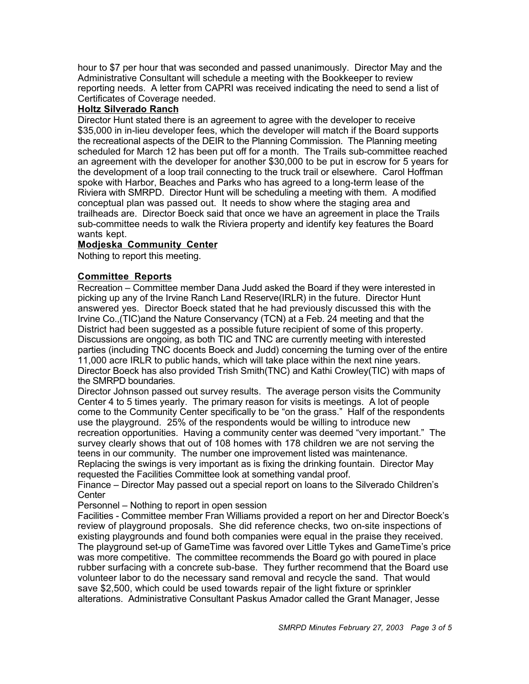hour to \$7 per hour that was seconded and passed unanimously. Director May and the Administrative Consultant will schedule a meeting with the Bookkeeper to review reporting needs. A letter from CAPRI was received indicating the need to send a list of Certificates of Coverage needed.

# **Holtz Silverado Ranch**

Director Hunt stated there is an agreement to agree with the developer to receive \$35,000 in in-lieu developer fees, which the developer will match if the Board supports the recreational aspects of the DEIR to the Planning Commission. The Planning meeting scheduled for March 12 has been put off for a month. The Trails sub-committee reached an agreement with the developer for another \$30,000 to be put in escrow for 5 years for the development of a loop trail connecting to the truck trail or elsewhere. Carol Hoffman spoke with Harbor, Beaches and Parks who has agreed to a long-term lease of the Riviera with SMRPD. Director Hunt will be scheduling a meeting with them. A modified conceptual plan was passed out. It needs to show where the staging area and trailheads are. Director Boeck said that once we have an agreement in place the Trails sub-committee needs to walk the Riviera property and identify key features the Board wants kept.

# **Modjeska Community Center**

Nothing to report this meeting.

# **Committee Reports**

Recreation – Committee member Dana Judd asked the Board if they were interested in picking up any of the Irvine Ranch Land Reserve(IRLR) in the future. Director Hunt answered yes. Director Boeck stated that he had previously discussed this with the Irvine Co.,(TIC)and the Nature Conservancy (TCN) at a Feb. 24 meeting and that the District had been suggested as a possible future recipient of some of this property. Discussions are ongoing, as both TIC and TNC are currently meeting with interested parties (including TNC docents Boeck and Judd) concerning the turning over of the entire 11,000 acre IRLR to public hands, which will take place within the next nine years. Director Boeck has also provided Trish Smith(TNC) and Kathi Crowley(TIC) with maps of the SMRPD boundaries.

Director Johnson passed out survey results. The average person visits the Community Center 4 to 5 times yearly. The primary reason for visits is meetings. A lot of people come to the Community Center specifically to be "on the grass." Half of the respondents use the playground. 25% of the respondents would be willing to introduce new recreation opportunities. Having a community center was deemed "very important." The survey clearly shows that out of 108 homes with 178 children we are not serving the teens in our community. The number one improvement listed was maintenance. Replacing the swings is very important as is fixing the drinking fountain. Director May requested the Facilities Committee look at something vandal proof.

Finance – Director May passed out a special report on loans to the Silverado Children's **Center** 

Personnel – Nothing to report in open session

Facilities - Committee member Fran Williams provided a report on her and Director Boeck's review of playground proposals. She did reference checks, two on-site inspections of existing playgrounds and found both companies were equal in the praise they received. The playground set-up of GameTime was favored over Little Tykes and GameTime's price was more competitive. The committee recommends the Board go with poured in place rubber surfacing with a concrete sub-base. They further recommend that the Board use volunteer labor to do the necessary sand removal and recycle the sand. That would save \$2,500, which could be used towards repair of the light fixture or sprinkler alterations. Administrative Consultant Paskus Amador called the Grant Manager, Jesse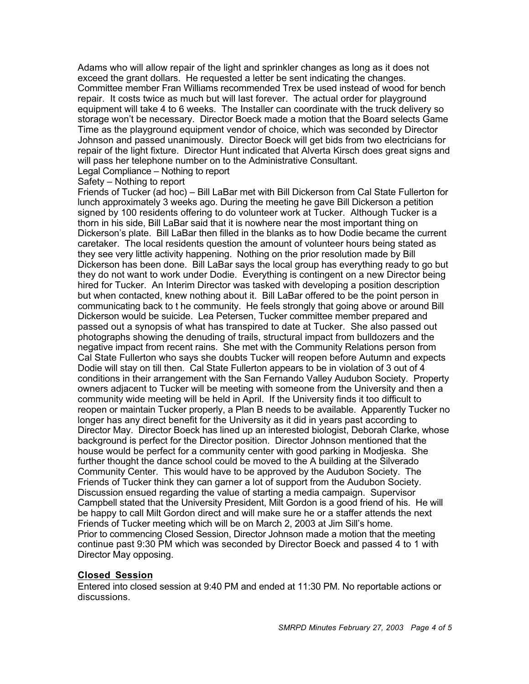Adams who will allow repair of the light and sprinkler changes as long as it does not exceed the grant dollars. He requested a letter be sent indicating the changes. Committee member Fran Williams recommended Trex be used instead of wood for bench repair. It costs twice as much but will last forever. The actual order for playground equipment will take 4 to 6 weeks. The Installer can coordinate with the truck delivery so storage won't be necessary. Director Boeck made a motion that the Board selects Game Time as the playground equipment vendor of choice, which was seconded by Director Johnson and passed unanimously. Director Boeck will get bids from two electricians for repair of the light fixture. Director Hunt indicated that Alverta Kirsch does great signs and will pass her telephone number on to the Administrative Consultant.

Legal Compliance – Nothing to report

Safety – Nothing to report

Friends of Tucker (ad hoc) – Bill LaBar met with Bill Dickerson from Cal State Fullerton for lunch approximately 3 weeks ago. During the meeting he gave Bill Dickerson a petition signed by 100 residents offering to do volunteer work at Tucker. Although Tucker is a thorn in his side, Bill LaBar said that it is nowhere near the most important thing on Dickerson's plate. Bill LaBar then filled in the blanks as to how Dodie became the current caretaker. The local residents question the amount of volunteer hours being stated as they see very little activity happening. Nothing on the prior resolution made by Bill Dickerson has been done. Bill LaBar says the local group has everything ready to go but they do not want to work under Dodie. Everything is contingent on a new Director being hired for Tucker. An Interim Director was tasked with developing a position description but when contacted, knew nothing about it. Bill LaBar offered to be the point person in communicating back to t he community. He feels strongly that going above or around Bill Dickerson would be suicide. Lea Petersen, Tucker committee member prepared and passed out a synopsis of what has transpired to date at Tucker. She also passed out photographs showing the denuding of trails, structural impact from bulldozers and the negative impact from recent rains. She met with the Community Relations person from Cal State Fullerton who says she doubts Tucker will reopen before Autumn and expects Dodie will stay on till then. Cal State Fullerton appears to be in violation of 3 out of 4 conditions in their arrangement with the San Fernando Valley Audubon Society. Property owners adjacent to Tucker will be meeting with someone from the University and then a community wide meeting will be held in April. If the University finds it too difficult to reopen or maintain Tucker properly, a Plan B needs to be available. Apparently Tucker no longer has any direct benefit for the University as it did in years past according to Director May. Director Boeck has lined up an interested biologist, Deborah Clarke, whose background is perfect for the Director position. Director Johnson mentioned that the house would be perfect for a community center with good parking in Modjeska. She further thought the dance school could be moved to the A building at the Silverado Community Center. This would have to be approved by the Audubon Society. The Friends of Tucker think they can garner a lot of support from the Audubon Society. Discussion ensued regarding the value of starting a media campaign. Supervisor Campbell stated that the University President, Milt Gordon is a good friend of his. He will be happy to call Milt Gordon direct and will make sure he or a staffer attends the next Friends of Tucker meeting which will be on March 2, 2003 at Jim Sill's home. Prior to commencing Closed Session, Director Johnson made a motion that the meeting continue past 9:30 PM which was seconded by Director Boeck and passed 4 to 1 with Director May opposing.

#### **Closed Session**

Entered into closed session at 9:40 PM and ended at 11:30 PM. No reportable actions or discussions.